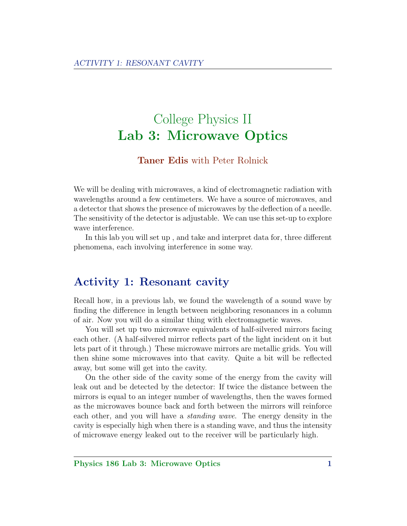# College Physics II Lab 3: Microwave Optics

#### Taner Edis with Peter Rolnick

We will be dealing with microwaves, a kind of electromagnetic radiation with wavelengths around a few centimeters. We have a source of microwaves, and a detector that shows the presence of microwaves by the deflection of a needle. The sensitivity of the detector is adjustable. We can use this set-up to explore wave interference.

In this lab you will set up , and take and interpret data for, three different phenomena, each involving interference in some way.

## Activity 1: Resonant cavity

Recall how, in a previous lab, we found the wavelength of a sound wave by finding the difference in length between neighboring resonances in a column of air. Now you will do a similar thing with electromagnetic waves.

You will set up two microwave equivalents of half-silvered mirrors facing each other. (A half-silvered mirror reflects part of the light incident on it but lets part of it through.) These microwave mirrors are metallic grids. You will then shine some microwaves into that cavity. Quite a bit will be reflected away, but some will get into the cavity.

On the other side of the cavity some of the energy from the cavity will leak out and be detected by the detector: If twice the distance between the mirrors is equal to an integer number of wavelengths, then the waves formed as the microwaves bounce back and forth between the mirrors will reinforce each other, and you will have a standing wave. The energy density in the cavity is especially high when there is a standing wave, and thus the intensity of microwave energy leaked out to the receiver will be particularly high.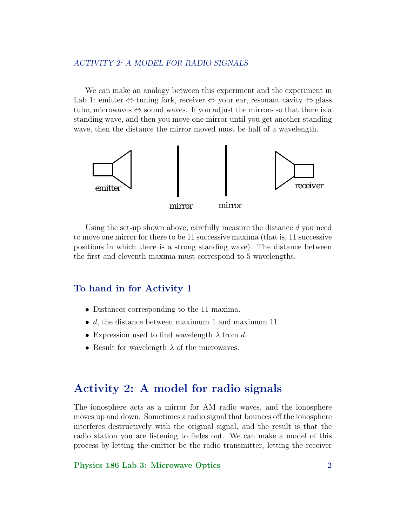We can make an analogy between this experiment and the experiment in Lab 1: emitter  $\Leftrightarrow$  tuning fork, receiver  $\Leftrightarrow$  your ear, resonant cavity  $\Leftrightarrow$  glass tube, microwaves  $\Leftrightarrow$  sound waves. If you adjust the mirrors so that there is a standing wave, and then you move one mirror until you get another standing wave, then the distance the mirror moved must be half of a wavelength.



Using the set-up shown above, carefully measure the distance  $d$  you need to move one mirror for there to be 11 successive maxima (that is, 11 successive positions in which there is a strong standing wave). The distance between the first and eleventh maxima must correspond to 5 wavelengths.

### To hand in for Activity 1

- Distances corresponding to the 11 maxima.
- $d$ , the distance between maximum 1 and maximum 11.
- Expression used to find wavelength  $\lambda$  from d.
- Result for wavelength  $\lambda$  of the microwaves.

## Activity 2: A model for radio signals

The ionosphere acts as a mirror for AM radio waves, and the ionosphere moves up and down. Sometimes a radio signal that bounces off the ionosphere interferes destructively with the original signal, and the result is that the radio station you are listening to fades out. We can make a model of this process by letting the emitter be the radio transmitter, letting the receiver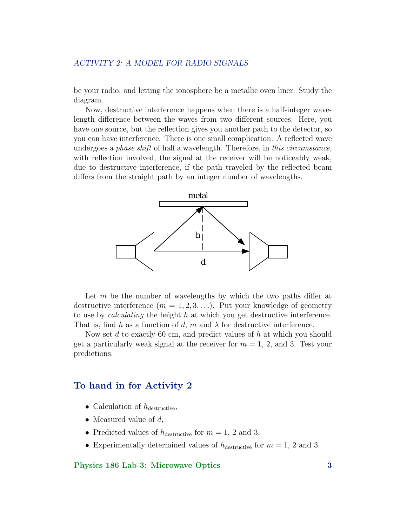be your radio, and letting the ionosphere be a metallic oven liner. Study the diagram.

Now, destructive interference happens when there is a half-integer wavelength difference between the waves from two different sources. Here, you have one source, but the reflection gives you another path to the detector, so you can have interference. There is one small complication. A reflected wave undergoes a *phase shift* of half a wavelength. Therefore, in *this circumstance*, with reflection involved, the signal at the receiver will be noticeably weak, due to destructive interference, if the path traveled by the reflected beam differs from the straight path by an integer number of wavelengths.



Let  $m$  be the number of wavelengths by which the two paths differ at destructive interference  $(m = 1, 2, 3, \ldots)$ . Put your knowledge of geometry to use by calculating the height h at which you get destructive interference. That is, find h as a function of d, m and  $\lambda$  for destructive interference.

Now set d to exactly 60 cm, and predict values of  $h$  at which you should get a particularly weak signal at the receiver for  $m = 1, 2,$  and 3. Test your predictions.

#### To hand in for Activity 2

- Calculation of  $h_{\text{destructive}}$ ,
- Measured value of  $d$ ,
- Predicted values of  $h_{\text{destructive}}$  for  $m = 1, 2$  and 3,
- Experimentally determined values of  $h_{\text{destructive}}$  for  $m = 1, 2$  and 3.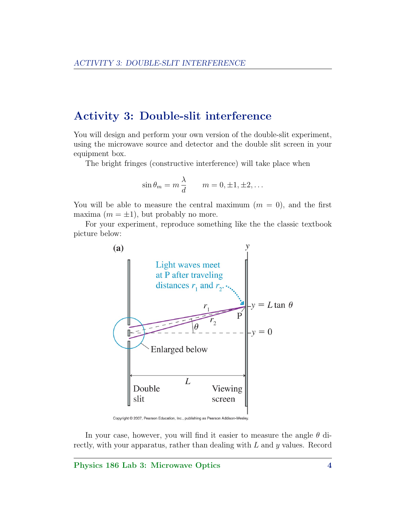## Activity 3: Double-slit interference

You will design and perform your own version of the double-slit experiment, using the microwave source and detector and the double slit screen in your equipment box.

The bright fringes (constructive interference) will take place when

$$
\sin \theta_m = m \frac{\lambda}{d} \qquad m = 0, \pm 1, \pm 2, \dots
$$

You will be able to measure the central maximum  $(m = 0)$ , and the first maxima  $(m = \pm 1)$ , but probably no more.

For your experiment, reproduce something like the the classic textbook picture below:



Copyright @ 2007, Pearson Education, Inc., publishing as Pearson Addison-Wesley.

In your case, however, you will find it easier to measure the angle  $\theta$  directly, with your apparatus, rather than dealing with  $L$  and  $y$  values. Record